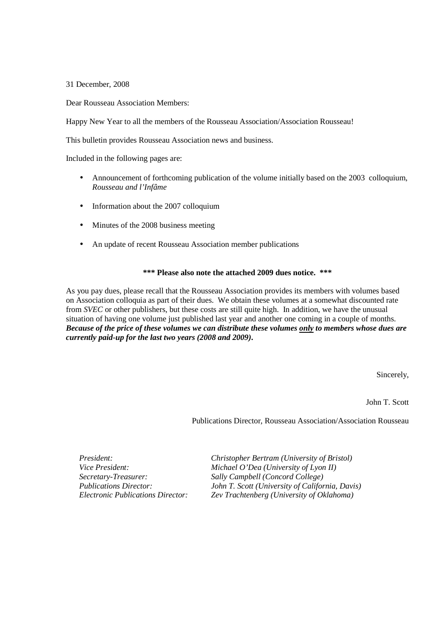31 December, 2008

Dear Rousseau Association Members:

Happy New Year to all the members of the Rousseau Association/Association Rousseau!

This bulletin provides Rousseau Association news and business.

Included in the following pages are:

- Announcement of forthcoming publication of the volume initially based on the 2003 colloquium, *Rousseau and l'Infâme*
- Information about the 2007 colloquium
- Minutes of the 2008 business meeting
- An update of recent Rousseau Association member publications

# **\*\*\* Please also note the attached 2009 dues notice. \*\*\***

As you pay dues, please recall that the Rousseau Association provides its members with volumes based on Association colloquia as part of their dues. We obtain these volumes at a somewhat discounted rate from *SVEC* or other publishers, but these costs are still quite high. In addition, we have the unusual situation of having one volume just published last year and another one coming in a couple of months. *Because of the price of these volumes we can distribute these volumes only to members whose dues are currently paid-up for the last two years (2008 and 2009)***.**

Sincerely,

John T. Scott

Publications Director, Rousseau Association/Association Rousseau

*President: Christopher Bertram (University of Bristol) Michael O'Dea (University of Lyon II) Secretary-Treasurer: Sally Campbell (Concord College) Publications Director: John T. Scott (University of California, Davis) Zev Trachtenberg (University of Oklahoma)*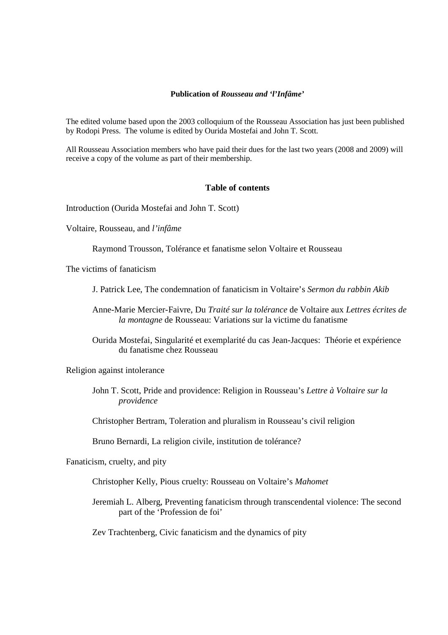# **Publication of** *Rousseau and 'l'Infâme'*

The edited volume based upon the 2003 colloquium of the Rousseau Association has just been published by Rodopi Press. The volume is edited by Ourida Mostefai and John T. Scott.

All Rousseau Association members who have paid their dues for the last two years (2008 and 2009) will receive a copy of the volume as part of their membership.

# **Table of contents**

Introduction (Ourida Mostefai and John T. Scott)

Voltaire, Rousseau, and *l'infâme*

Raymond Trousson, Tolérance et fanatisme selon Voltaire et Rousseau

The victims of fanaticism

- J. Patrick Lee, The condemnation of fanaticism in Voltaire's *Sermon du rabbin Akib*
- Anne-Marie Mercier-Faivre, Du *Traité sur la tolérance* de Voltaire aux *Lettres écrites de la montagne* de Rousseau: Variations sur la victime du fanatisme
- Ourida Mostefai, Singularité et exemplarité du cas Jean-Jacques: Théorie et expérience du fanatisme chez Rousseau

Religion against intolerance

John T. Scott, Pride and providence: Religion in Rousseau's *Lettre à Voltaire sur la providence*

Christopher Bertram, Toleration and pluralism in Rousseau's civil religion

Bruno Bernardi, La religion civile, institution de tolérance?

Fanaticism, cruelty, and pity

Christopher Kelly, Pious cruelty: Rousseau on Voltaire's *Mahomet*

Jeremiah L. Alberg, Preventing fanaticism through transcendental violence: The second part of the 'Profession de foi'

Zev Trachtenberg, Civic fanaticism and the dynamics of pity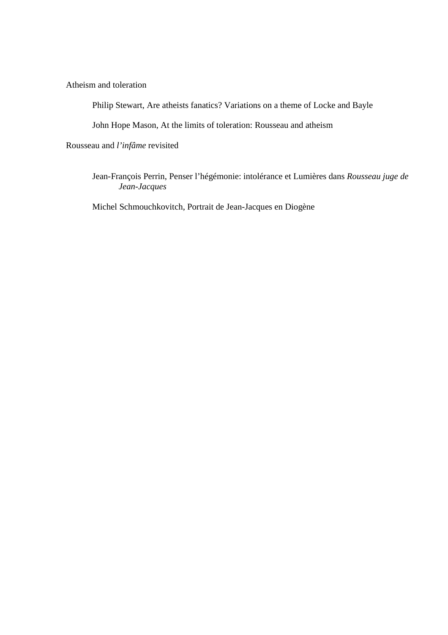Atheism and toleration

Philip Stewart, Are atheists fanatics? Variations on a theme of Locke and Bayle

John Hope Mason, At the limits of toleration: Rousseau and atheism

Rousseau and *l'infâme* revisited

Jean-François Perrin, Penser l'hégémonie: intolérance et Lumières dans *Rousseau juge de Jean-Jacques*

Michel Schmouchkovitch, Portrait de Jean-Jacques en Diogène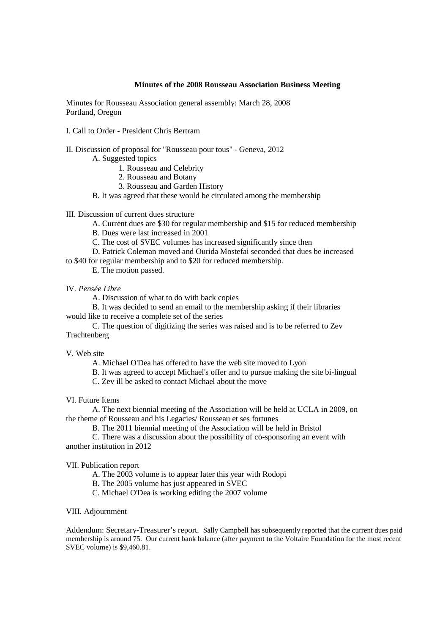## **Minutes of the 2008 Rousseau Association Business Meeting**

Minutes for Rousseau Association general assembly: March 28, 2008 Portland, Oregon

- I. Call to Order President Chris Bertram
- II. Discussion of proposal for "Rousseau pour tous" Geneva, 2012
	- A. Suggested topics
		- 1. Rousseau and Celebrity
		- 2. Rousseau and Botany
		- 3. Rousseau and Garden History

B. It was agreed that these would be circulated among the membership

III. Discussion of current dues structure

- A. Current dues are \$30 for regular membership and \$15 for reduced membership
- B. Dues were last increased in 2001
- C. The cost of SVEC volumes has increased significantly since then
- D. Patrick Coleman moved and Ourida Mostefai seconded that dues be increased
- to \$40 for regular membership and to \$20 for reduced membership.
	- E. The motion passed.

#### IV. *Pensée Libre*

A. Discussion of what to do with back copies

 B. It was decided to send an email to the membership asking if their libraries would like to receive a complete set of the series

 C. The question of digitizing the series was raised and is to be referred to Zev **Trachtenberg** 

V. Web site

- A. Michael O'Dea has offered to have the web site moved to Lyon
- B. It was agreed to accept Michael's offer and to pursue making the site bi-lingual
- C. Zev ill be asked to contact Michael about the move

VI. Future Items

 A. The next biennial meeting of the Association will be held at UCLA in 2009, on the theme of Rousseau and his Legacies/ Rousseau et ses fortunes

B. The 2011 biennial meeting of the Association will be held in Bristol

 C. There was a discussion about the possibility of co-sponsoring an event with another institution in 2012

#### VII. Publication report

A. The 2003 volume is to appear later this year with Rodopi

- B. The 2005 volume has just appeared in SVEC
- C. Michael O'Dea is working editing the 2007 volume

## VIII. Adjournment

Addendum: Secretary-Treasurer's report. Sally Campbell has subsequently reported that the current dues paid membership is around 75. Our current bank balance (after payment to the Voltaire Foundation for the most recent SVEC volume) is \$9,460.81.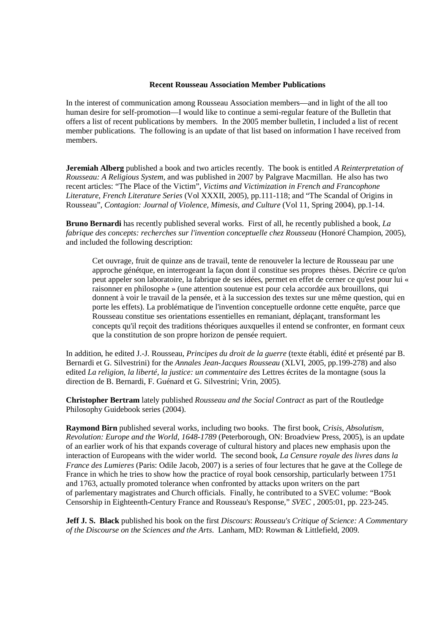#### **Recent Rousseau Association Member Publications**

In the interest of communication among Rousseau Association members—and in light of the all too human desire for self-promotion—I would like to continue a semi-regular feature of the Bulletin that offers a list of recent publications by members. In the 2005 member bulletin, I included a list of recent member publications. The following is an update of that list based on information I have received from members.

**Jeremiah Alberg** published a book and two articles recently. The book is entitled *A Reinterpretation of Rousseau: A Religious System*, and was published in 2007 by Palgrave Macmillan. He also has two recent articles: "The Place of the Victim", *Victims and Victimization in French and Francophone Literature*, *French Literature Series* (Vol XXXII, 2005), pp.111-118; and "The Scandal of Origins in Rousseau", *Contagion: Journal of Violence, Mimesis, and Culture* (Vol 11, Spring 2004), pp.1-14.

**Bruno Bernardi** has recently published several works. First of all, he recently published a book, *La fabrique des concepts: recherches sur l'invention conceptuelle chez Rousseau* (Honoré Champion, 2005), and included the following description:

Cet ouvrage, fruit de quinze ans de travail, tente de renouveler la lecture de Rousseau par une approche génétque, en interrogeant la façon dont il constitue ses propres thèses. Décrire ce qu'on peut appeler son laboratoire, la fabrique de ses idées, permet en effet de cerner ce qu'est pour lui « raisonner en philosophe » (une attention soutenue est pour cela accordée aux brouillons, qui donnent à voir le travail de la pensée, et à la succession des textes sur une même question, qui en porte les effets). La problématique de l'invention conceptuelle ordonne cette enquête, parce que Rousseau constitue ses orientations essentielles en remaniant, déplaçant, transformant les concepts qu'il reçoit des traditions théoriques auxquelles il entend se confronter, en formant ceux que la constitution de son propre horizon de pensée requiert.

In addition, he edited J.-J. Rousseau, *Principes du droit de la guerre* (texte établi, édité et présenté par B. Bernardi et G. Silvestrini) for the *Annales Jean-Jacques Rousseau* (XLVI, 2005, pp.199-278) and also edited *La religion, la liberté, la justice: un commentaire des* Lettres écrites de la montagne (sous la direction de B. Bernardi, F. Guénard et G. Silvestrini; Vrin, 2005).

**Christopher Bertram** lately published *Rousseau and the Social Contract* as part of the Routledge Philosophy Guidebook series (2004).

**Raymond Birn** published several works, including two books. The first book, *Crisis, Absolutism, Revolution: Europe and the World, 1648-1789* (Peterborough, ON: Broadview Press, 2005), is an update of an earlier work of his that expands coverage of cultural history and places new emphasis upon the interaction of Europeans with the wider world. The second book, *La Censure royale des livres dans la France des Lumieres* (Paris: Odile Jacob, 2007) is a series of four lectures that he gave at the College de France in which he tries to show how the practice of royal book censorship, particularly between 1751 and 1763, actually promoted tolerance when confronted by attacks upon writers on the part of parlementary magistrates and Church officials. Finally, he contributed to a SVEC volume: "Book Censorship in Eighteenth-Century France and Rousseau's Response," *SVEC* , 2005:01, pp. 223-245.

**Jeff J. S. Black** published his book on the first *Discours*: *Rousseau's Critique of Science: A Commentary of the Discourse on the Sciences and the Arts*. Lanham, MD: Rowman & Littlefield, 2009.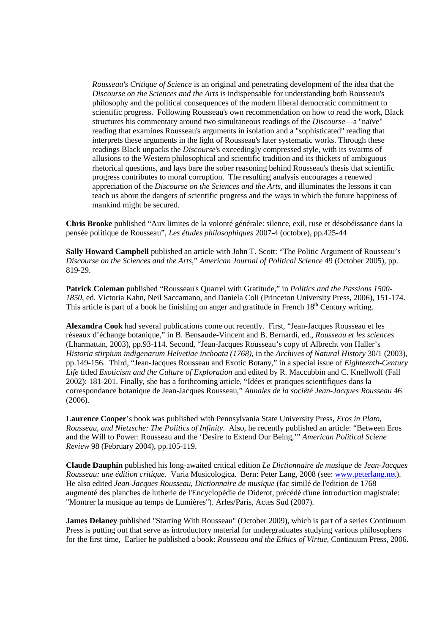*Rousseau's Critique of Science* is an original and penetrating development of the idea that the *Discourse on the Sciences and the Arts* is indispensable for understanding both Rousseau's philosophy and the political consequences of the modern liberal democratic commitment to scientific progress. Following Rousseau's own recommendation on how to read the work, Black structures his commentary around two simultaneous readings of the *Discourse*—a "naïve" reading that examines Rousseau's arguments in isolation and a "sophisticated" reading that interprets these arguments in the light of Rousseau's later systematic works. Through these readings Black unpacks the *Discourse*'s exceedingly compressed style, with its swarms of allusions to the Western philosophical and scientific tradition and its thickets of ambiguous rhetorical questions, and lays bare the sober reasoning behind Rousseau's thesis that scientific progress contributes to moral corruption. The resulting analysis encourages a renewed appreciation of the *Discourse on the Sciences and the Arts*, and illuminates the lessons it can teach us about the dangers of scientific progress and the ways in which the future happiness of mankind might be secured.

**Chris Brooke** published "Aux limites de la volonté générale: silence, exil, ruse et désobéissance dans la pensée politique de Rousseau", *Les études philosophiques* 2007-4 (octobre), pp.425-44

**Sally Howard Campbell** published an article with John T. Scott: "The Politic Argument of Rousseau's *Discourse on the Sciences and the Arts*," *American Journal of Political Science* 49 (October 2005), pp. 819-29.

**Patrick Coleman** published "Rousseau's Quarrel with Gratitude," in *Politics and the Passions 1500- 1850*, ed. Victoria Kahn, Neil Saccamano, and Daniela Coli (Princeton University Press, 2006), 151-174. This article is part of a book he finishing on anger and gratitude in French  $18<sup>th</sup>$  Century writing.

**Alexandra Cook** had several publications come out recently. First, "Jean-Jacques Rousseau et les réseaux d'échange botanique," in B. Bensaude-Vincent and B. Bernardi, ed., *Rousseau et les sciences* (Lharmattan, 2003), pp.93-114. Second, "Jean-Jacques Rousseau's copy of Albrecht von Haller's *Historia stirpium indigenarum Helvetiae inchoata (1768)*, in the *Archives of Natural History* 30/1 (2003), pp.149-156. Third, "Jean-Jacques Rousseau and Exotic Botany," in a special issue of *Eighteenth-Century Life* titled *Exoticism and the Culture of Exploration* and edited by R. Maccubbin and C. Knellwolf (Fall 2002): 181-201. Finally, she has a forthcoming article, "Idées et pratiques scientifiques dans la correspondance botanique de Jean-Jacques Rousseau," *Annales de la société Jean-Jacques Rousseau* 46 (2006).

**Laurence Cooper**'s book was published with Pennsylvania State University Press, *Eros in Plato, Rousseau, and Nietzsche: The Politics of Infinity*. Also, he recently published an article: "Between Eros and the Will to Power: Rousseau and the 'Desire to Extend Our Being,'" *American Political Sciene Review* 98 (February 2004), pp.105-119.

**Claude Dauphin** published his long-awaited critical edition *Le Dictionnaire de musique de Jean-Jacques Rousseau: une édition critique*. Varia Musicologica. Bern: Peter Lang, 2008 (see: www.peterlang.net). He also edited *Jean-Jacques Rousseau, Dictionnaire de musique* (fac similé de l'edition de 1768 augmenté des planches de lutherie de l'Encyclopédie de Diderot, précédé d'une introduction magistrale: "Montrer la musique au temps de Lumières"). Arles/Paris, Actes Sud (2007).

**James Delaney** published "Starting With Rousseau" (October 2009), which is part of a series Continuum Press is putting out that serve as introductory material for undergraduates studying various philosophers for the first time, Earlier he published a book: *Rousseau and the Ethics of Virtue*, Continuum Press, 2006.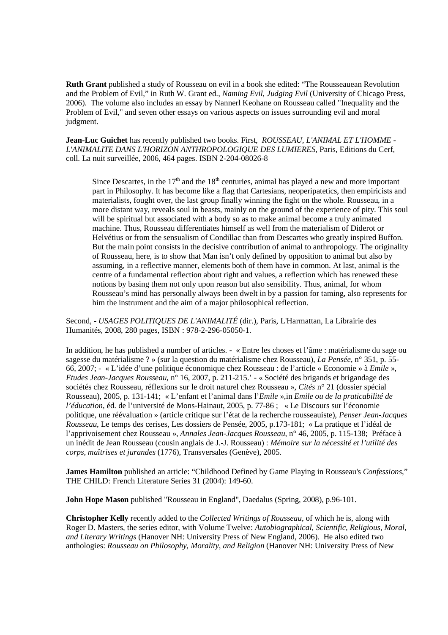**Ruth Grant** published a study of Rousseau on evil in a book she edited: "The Rousseauean Revolution and the Problem of Evil," in Ruth W. Grant ed., *Naming Evil, Judging Evil* (University of Chicago Press, 2006). The volume also includes an essay by Nannerl Keohane on Rousseau called "Inequality and the Problem of Evil," and seven other essays on various aspects on issues surrounding evil and moral judgment.

**Jean-Luc Guichet** has recently published two books. First, *ROUSSEAU, L'ANIMAL ET L'HOMME - L'ANIMALITE DANS L'HORIZON ANTHROPOLOGIQUE DES LUMIERES,* Paris, Editions du Cerf, coll. La nuit surveillée, 2006, 464 pages. ISBN 2-204-08026-8

Since Descartes, in the  $17<sup>th</sup>$  and the  $18<sup>th</sup>$  centuries, animal has played a new and more important part in Philosophy. It has become like a flag that Cartesians, neoperipatetics, then empiricists and materialists, fought over, the last group finally winning the fight on the whole. Rousseau, in a more distant way, reveals soul in beasts, mainly on the ground of the experience of pity. This soul will be spiritual but associated with a body so as to make animal become a truly animated machine. Thus, Rousseau differentiates himself as well from the materialism of Diderot or Helvétius or from the sensualism of Condillac than from Descartes who greatly inspired Buffon. But the main point consists in the decisive contribution of animal to anthropology. The originality of Rousseau, here, is to show that Man isn't only defined by opposition to animal but also by assuming, in a reflective manner, elements both of them have in common. At last, animal is the centre of a fundamental reflection about right and values, a reflection which has renewed these notions by basing them not only upon reason but also sensibility. Thus, animal, for whom Rousseau's mind has personally always been dwelt in by a passion for taming, also represents for him the instrument and the aim of a major philosophical reflection.

Second, - *USAGES POLITIQUES DE L'ANIMALITÉ* (dir.), Paris, L'Harmattan, La Librairie des Humanités, 2008, 280 pages, ISBN : 978-2-296-05050-1.

In addition, he has published a number of articles. - « Entre les choses et l'âme : matérialisme du sage ou sagesse du matérialisme ? » (sur la question du matérialisme chez Rousseau), *La Pensée*, n° 351, p. 55- 66, 2007; - « L'idée d'une politique économique chez Rousseau : de l'article « Economie » à *Emile* », *Etudes Jean-Jacques Rousseau,* n° 16, 2007, p. 211-215.' - « Société des brigands et brigandage des sociétés chez Rousseau, réflexions sur le droit naturel chez Rousseau », *Cités* n° 21 (dossier spécial Rousseau), 2005, p. 131-141; « L'enfant et l'animal dans l'*Emile* »,in *Emile ou de la praticabilité de l'éducation*, éd. de l'université de Mons-Hainaut, 2005, p. 77-86 ; « Le Discours sur l'économie politique, une réévaluation » (article critique sur l'état de la recherche rousseauiste), *Penser Jean-Jacques Rousseau*, Le temps des cerises, Les dossiers de Pensée, 2005, p.173-181; « La pratique et l'idéal de l'apprivoisement chez Rousseau », *Annales Jean-Jacques Rousseau*, n° 46, 2005, p. 115-138; Préface à un inédit de Jean Rousseau (cousin anglais de J.-J. Rousseau) : *Mémoire sur la nécessité et l'utilité des corps, maîtrises et jurandes* (1776), Transversales (Genève), 2005.

**James Hamilton** published an article: "Childhood Defined by Game Playing in Rousseau's *Confessions*," THE CHILD: French Literature Series 31 (2004): 149-60.

**John Hope Mason** published "Rousseau in England", Daedalus (Spring, 2008), p.96-101.

**Christopher Kelly** recently added to the *Collected Writings of Rousseau*, of which he is, along with Roger D. Masters, the series editor, with Volume Twelve: *Autobiographical, Scientific, Religious, Moral, and Literary Writings* (Hanover NH: University Press of New England, 2006). He also edited two anthologies: *Rousseau on Philosophy, Morality, and Religion* (Hanover NH: University Press of New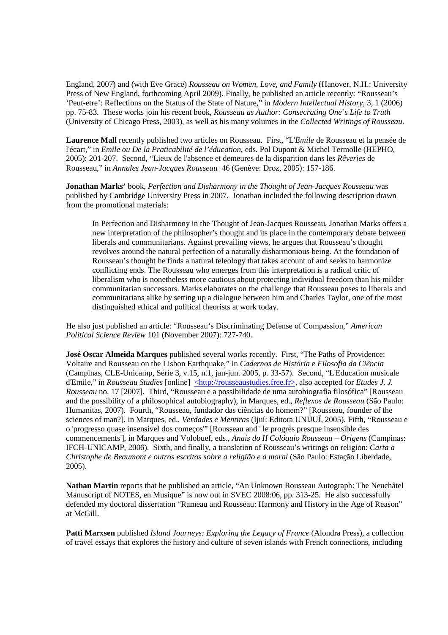England, 2007) and (with Eve Grace) *Rousseau on Women, Love, and Family* (Hanover, N.H.: University Press of New England, forthcoming April 2009). Finally, he published an article recently: "Rousseau's 'Peut-etre': Reflections on the Status of the State of Nature," in *Modern Intellectual History*, 3, 1 (2006) pp. 75-83. These works join his recent book, *Rousseau as Author: Consecrating One's Life to Truth* (University of Chicago Press, 2003), as well as his many volumes in the *Collected Writings of Rousseau*.

**Laurence Mall** recently published two articles on Rousseau. First, "L'*Emile* de Rousseau et la pensée de l'écart," in *Emile ou De la Praticabilité de l'éducation*, eds. Pol Dupont & Michel Termolle (HEPHO, 2005): 201-207. Second, "Lieux de l'absence et demeures de la disparition dans les *Rêveries* de Rousseau," in *Annales Jean-Jacques Rousseau* 46 (Genève: Droz, 2005): 157-186.

**Jonathan Marks'** book, *Perfection and Disharmony in the Thought of Jean-Jacques Rousseau* was published by Cambridge University Press in 2007. Jonathan included the following description drawn from the promotional materials:

In Perfection and Disharmony in the Thought of Jean-Jacques Rousseau, Jonathan Marks offers a new interpretation of the philosopher's thought and its place in the contemporary debate between liberals and communitarians. Against prevailing views, he argues that Rousseau's thought revolves around the natural perfection of a naturally disharmonious being. At the foundation of Rousseau's thought he finds a natural teleology that takes account of and seeks to harmonize conflicting ends. The Rousseau who emerges from this interpretation is a radical critic of liberalism who is nonetheless more cautious about protecting individual freedom than his milder communitarian successors. Marks elaborates on the challenge that Rousseau poses to liberals and communitarians alike by setting up a dialogue between him and Charles Taylor, one of the most distinguished ethical and political theorists at work today.

He also just published an article: "Rousseau's Discriminating Defense of Compassion," *American Political Science Review* 101 (November 2007): 727-740.

**José Oscar Almeida Marques** published several works recently. First, "The Paths of Providence: Voltaire and Rousseau on the Lisbon Earthquake," in *Cadernos de História e Filosofia da Ciência* (Campinas, CLE-Unicamp, Série 3, v.15, n.1, jan-jun. 2005, p. 33-57). Second, "L'Education musicale d'Emile," in *Rousseau Studies* [online] <http://rousseaustudies.free.fr>, also accepted for *Etudes J. J. Rousseau* no. 17 [2007]. Third, "Rousseau e a possibilidade de uma autobiografia filosófica" [Rousseau and the possibility of a philosophical autobiography), in Marques, ed., *Reflexos de Rousseau* (São Paulo: Humanitas, 2007). Fourth, "Rousseau, fundador das ciências do homem?" [Rousseau, founder of the sciences of man?], in Marques, ed., *Verdades e Mentiras* (Ijuí: Editora UNIJUÍ, 2005). Fifth, "Rousseau e o 'progresso quase insensível dos começos'" [Rousseau and ' le progrès presque insensible des commencements'], in Marques and Volobuef, eds., *Anais do II Colóquio Rousseau – Origens* (Campinas: IFCH-UNICAMP, 2006). Sixth, and finally, a translation of Rousseau's writings on religion: *Carta a Christophe de Beaumont e outros escritos sobre a religião e a moral* (São Paulo: Estação Liberdade, 2005).

**Nathan Martin** reports that he published an article, "An Unknown Rousseau Autograph: The Neuchâtel Manuscript of NOTES, en Musique" is now out in SVEC 2008:06, pp. 313-25. He also successfully defended my doctoral dissertation "Rameau and Rousseau: Harmony and History in the Age of Reason" at McGill.

**Patti Marxsen** published *Island Journeys: Exploring the Legacy of France* (Alondra Press), a collection of travel essays that explores the history and culture of seven islands with French connections, including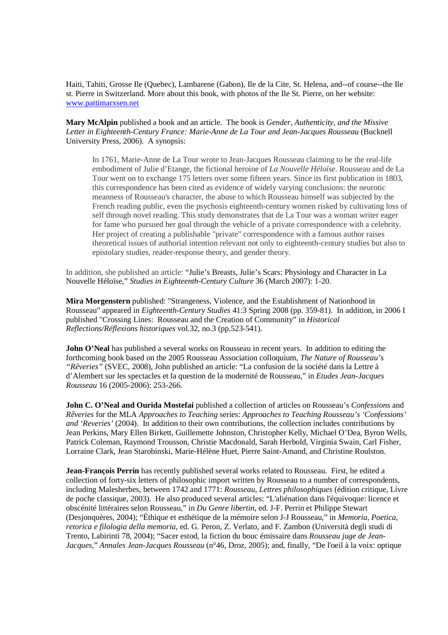Haiti, Tahiti, Grosse Ile (Quebec), Lambarene (Gabon), Ile de la Cite, St. Helena, and--of course--the Ile st. Pierre in Switzerland. More about this book, with photos of the Ile St. Pierre, on her website: www.pattimarxsen.net

**Mary McAlpin** published a book and an article. The book is *Gender, Authenticity, and the Missive Letter in Eighteenth-Century France: Marie-Anne de La Tour and Jean-Jacques Rousseau* (Bucknell University Press, 2006). A synopsis:

In 1761, Marie-Anne de La Tour wrote to Jean-Jacques Rousseau claiming to be the real-life embodiment of Julie d'Etange, the fictional heroine of *La Nouvelle Héloïse*. Rousseau and de La Tour went on to exchange 175 letters over some fifteen years. Since its first publication in 1803, this correspondence has been cited as evidence of widely varying conclusions: the neurotic meanness of Rousseau's character, the abuse to which Rousseau himself was subjected by the French reading public, even the psychosis eighteenth-century women risked by cultivating loss of self through novel reading. This study demonstrates that de La Tour was a woman writer eager for fame who pursued her goal through the vehicle of a private correspondence with a celebrity. Her project of creating a publishable "private" correspondence with a famous author raises theoretical issues of authorial intention relevant not only to eighteenth-century studies but also to epistolary studies, reader-response theory, and gender theory.

In addition, she published an article: "Julie's Breasts, Julie's Scars: Physiology and Character in La Nouvelle Héloïse," *Studies in Eighteenth-Century Culture* 36 (March 2007): 1-20.

**Mira Morgenstern** published: "Strangeness, Violence, and the Establishment of Nationhood in Rousseau" appeared in *Eighteenth-Century Studies* 41:3 Spring 2008 (pp. 359-81). In addition, in 2006 I published "Crossing Lines: Rousseau and the Creation of Community" in *Historical Reflections/Réflexions historiques* vol.32, no.3 (pp.523-541).

**John O'Neal** has published a several works on Rousseau in recent years. In addition to editing the forthcoming book based on the 2005 Rousseau Association colloquium, *The Nature of Rousseau's "Rêveries"* (SVEC, 2008), John published an article: "La confusion de la société dans la Lettre à d'Alembert sur les spectacles et la question de la modernité de Rousseau," in *Etudes Jean-Jacques Rousseau* 16 (2005-2006): 253-266.

**John C. O'Neal and Ourida Mostefai** published a collection of articles on Rousseau's *Confessions* and *Rêveries* for the MLA *Approaches to Teaching* series: *Approaches to Teaching Rousseau's 'Confessions' and 'Reveries'* (2004). In addition to their own contributions, the collection includes contributions by Jean Perkins, Mary Ellen Birkett, Guillemette Johnston, Christopher Kelly, Michael O'Dea, Byron Wells, Patrick Coleman, Raymond Trousson, Christie Macdonald, Sarah Herbold, Virginia Swain, Carl Fisher, Lorraine Clark, Jean Starobinski, Marie-Hélène Huet, Pierre Saint-Amand, and Christine Roulston.

**Jean-François Perrin** has recently published several works related to Rousseau. First, he edited a collection of forty-six letters of philosophic import written by Rousseau to a number of correspondents, including Malesherbes, between 1742 and 1771: *Rousseau, Lettres philosophiques* (édition critique, Livre de poche classique, 2003). He also produced several articles: "L'aliénation dans l'équivoque: licence et obscénité littéraires selon Rousseau," in *Du Genre libertin*, ed. J-F. Perrin et Philippe Stewart (Desjonquères, 2004); "Éthique et esthétique de la mémoire selon J-J Rousseau," in *Memoria, Poetica, retorica e filologia della memoria*, ed. G. Peron, Z. Verlato, and F. Zambon (Università degli studi di Trento, Labirinti 78, 2004); "Sacer estod, la fiction du bouc émissaire dans *Rousseau juge de Jean-Jacques*," *Annales Jean-Jacques Rousseau* (n°46, Droz, 2005); and, finally, "De l'oeil à la voix: optique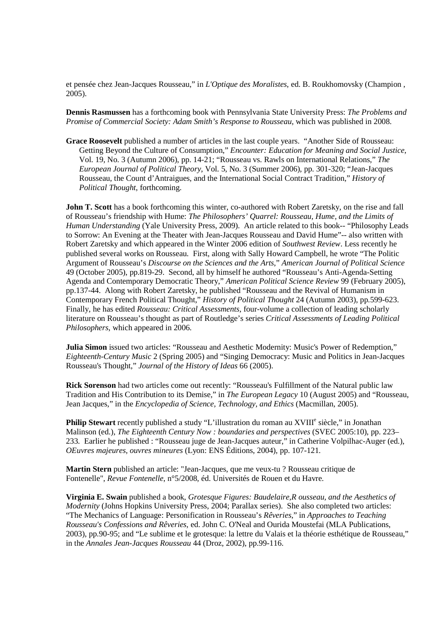et pensée chez Jean-Jacques Rousseau," in *L'Optique des Moralistes*, ed. B. Roukhomovsky (Champion , 2005).

**Dennis Rasmussen** has a forthcoming book with Pennsylvania State University Press: *The Problems and Promise of Commercial Society: Adam Smith's Response to Rousseau*, which was published in 2008.

**Grace Roosevelt** published a number of articles in the last couple years. "Another Side of Rousseau: Getting Beyond the Culture of Consumption," *Encounter: Education for Meaning and Social Justice*, Vol. 19, No. 3 (Autumn 2006), pp. 14-21; "Rousseau vs. Rawls on International Relations," *The European Journal of Political Theory*, Vol. 5, No. 3 (Summer 2006), pp. 301-320; "Jean-Jacques Rousseau, the Count d'Antraigues, and the International Social Contract Tradition," *History of Political Thought*, forthcoming.

**John T. Scott** has a book forthcoming this winter, co-authored with Robert Zaretsky, on the rise and fall of Rousseau's friendship with Hume: *The Philosophers' Quarrel: Rousseau, Hume, and the Limits of Human Understanding* (Yale University Press, 2009). An article related to this book-- "Philosophy Leads to Sorrow: An Evening at the Theater with Jean-Jacques Rousseau and David Hume"-- also written with Robert Zaretsky and which appeared in the Winter 2006 edition of *Southwest Review*. Less recently he published several works on Rousseau. First, along with Sally Howard Campbell, he wrote "The Politic Argument of Rousseau's *Discourse on the Sciences and the Arts*," *American Journal of Political Science* 49 (October 2005), pp.819-29. Second, all by himself he authored "Rousseau's Anti-Agenda-Setting Agenda and Contemporary Democratic Theory," *American Political Science Review* 99 (February 2005), pp.137-44. Along with Robert Zaretsky, he published "Rousseau and the Revival of Humanism in Contemporary French Political Thought," *History of Political Thought* 24 (Autumn 2003), pp.599-623. Finally, he has edited *Rousseau: Critical Assessments*, four-volume a collection of leading scholarly literature on Rousseau's thought as part of Routledge's series *Critical Assessments of Leading Political Philosophers*, which appeared in 2006.

**Julia Simon** issued two articles: "Rousseau and Aesthetic Modernity: Music's Power of Redemption," *Eighteenth-Century Music* 2 (Spring 2005) and "Singing Democracy: Music and Politics in Jean-Jacques Rousseau's Thought," *Journal of the History of Ideas* 66 (2005).

**Rick Sorenson** had two articles come out recently: "Rousseau's Fulfillment of the Natural public law Tradition and His Contribution to its Demise," in *The European Legacy* 10 (August 2005) and "Rousseau, Jean Jacques," in the *Encyclopedia of Science, Technology, and Ethics* (Macmillan, 2005).

Philip Stewart recently published a study "L'illustration du roman au XVIII<sup>e</sup> siècle," in Jonathan Malinson (ed.), *The Eighteenth Century Now : boundaries and perspectives* (SVEC 2005:10), pp. 223– 233. Earlier he published : "Rousseau juge de Jean-Jacques auteur," in Catherine Volpilhac-Auger (ed.), *OEuvres majeures, ouvres mineures* (Lyon: ENS Éditions, 2004), pp. 107-121.

**Martin Stern** published an article: "Jean-Jacques, que me veux-tu ? Rousseau critique de Fontenelle", *Revue Fontenelle*, n°5/2008, éd. Universités de Rouen et du Havre.

**Virginia E. Swain** published a book, *Grotesque Figures: Baudelaire,R ousseau, and the Aesthetics of Modernity* (Johns Hopkins University Press, 2004; Parallax series). She also completed two articles: "The Mechanics of Language: Personification in Rousseau's *Rêveries*," in *Approaches to Teaching Rousseau's Confessions and Rêveries*, ed. John C. O'Neal and Ourida Moustefai (MLA Publications, 2003), pp.90-95; and "Le sublime et le grotesque: la lettre du Valais et la théorie esthétique de Rousseau," in the *Annales Jean-Jacques Rousseau* 44 (Droz, 2002), pp.99-116.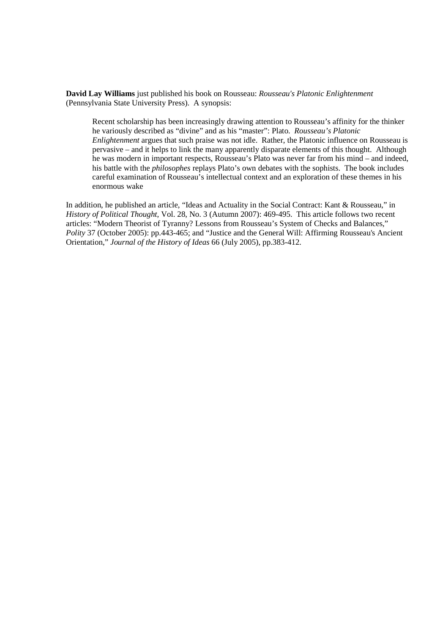**David Lay Williams** just published his book on Rousseau: *Rousseau's Platonic Enlightenment* (Pennsylvania State University Press). A synopsis:

Recent scholarship has been increasingly drawing attention to Rousseau's affinity for the thinker he variously described as "divine" and as his "master": Plato. *Rousseau's Platonic Enlightenment* argues that such praise was not idle. Rather, the Platonic influence on Rousseau is pervasive – and it helps to link the many apparently disparate elements of this thought. Although he was modern in important respects, Rousseau's Plato was never far from his mind – and indeed, his battle with the *philosophes* replays Plato's own debates with the sophists. The book includes careful examination of Rousseau's intellectual context and an exploration of these themes in his enormous wake

In addition, he published an article, "Ideas and Actuality in the Social Contract: Kant & Rousseau," in *History of Political Thought*, Vol. 28, No. 3 (Autumn 2007): 469-495. This article follows two recent articles: "Modern Theorist of Tyranny? Lessons from Rousseau's System of Checks and Balances," *Polity* 37 (October 2005): pp.443-465; and "Justice and the General Will: Affirming Rousseau's Ancient Orientation," *Journal of the History of Ideas* 66 (July 2005), pp.383-412.